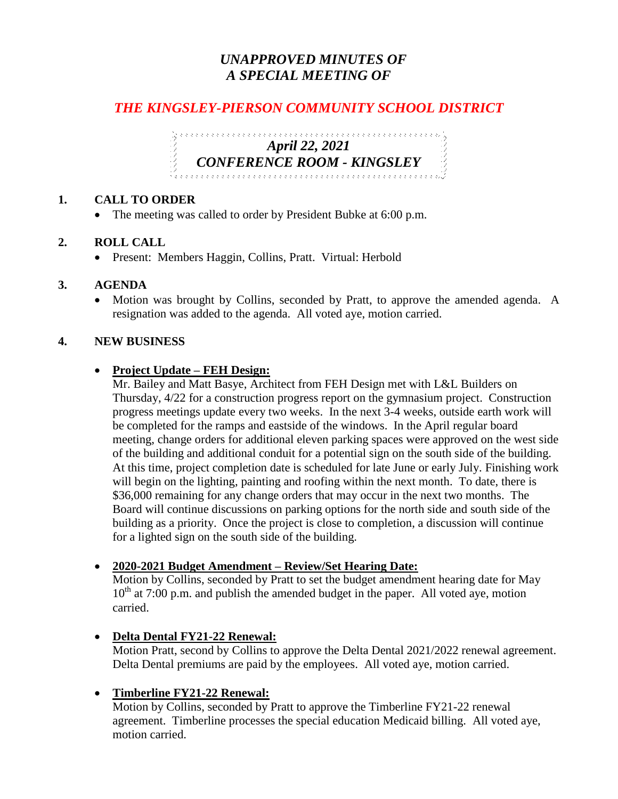# *UNAPPROVED MINUTES OF A SPECIAL MEETING OF*

# *THE KINGSLEY-PIERSON COMMUNITY SCHOOL DISTRICT*

*April 22, 2021 CONFERENCE ROOM - KINGSLEY* 

### **1. CALL TO ORDER**

• The meeting was called to order by President Bubke at 6:00 p.m.

## **2. ROLL CALL**

• Present: Members Haggin, Collins, Pratt. Virtual: Herbold

### **3. AGENDA**

• Motion was brought by Collins, seconded by Pratt, to approve the amended agenda. A resignation was added to the agenda. All voted aye, motion carried.

## **4. NEW BUSINESS**

## **Project Update – FEH Design:**

Mr. Bailey and Matt Basye, Architect from FEH Design met with L&L Builders on Thursday, 4/22 for a construction progress report on the gymnasium project. Construction progress meetings update every two weeks. In the next 3-4 weeks, outside earth work will be completed for the ramps and eastside of the windows. In the April regular board meeting, change orders for additional eleven parking spaces were approved on the west side of the building and additional conduit for a potential sign on the south side of the building. At this time, project completion date is scheduled for late June or early July. Finishing work will begin on the lighting, painting and roofing within the next month. To date, there is \$36,000 remaining for any change orders that may occur in the next two months. The Board will continue discussions on parking options for the north side and south side of the building as a priority. Once the project is close to completion, a discussion will continue for a lighted sign on the south side of the building.

### **2020-2021 Budget Amendment – Review/Set Hearing Date:**

Motion by Collins, seconded by Pratt to set the budget amendment hearing date for May  $10^{th}$  at 7:00 p.m. and publish the amended budget in the paper. All voted aye, motion carried.

# **Delta Dental FY21-22 Renewal:**

Motion Pratt, second by Collins to approve the Delta Dental 2021/2022 renewal agreement. Delta Dental premiums are paid by the employees. All voted aye, motion carried.

# **Timberline FY21-22 Renewal:**

Motion by Collins, seconded by Pratt to approve the Timberline FY21-22 renewal agreement. Timberline processes the special education Medicaid billing. All voted aye, motion carried.